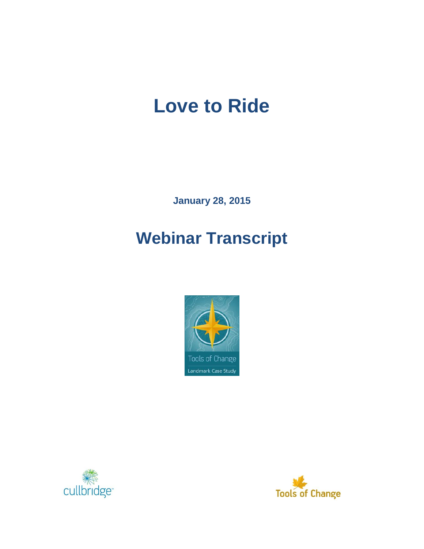# **Love to Ride**

**January 28, 2015**

## **Webinar Transcript**





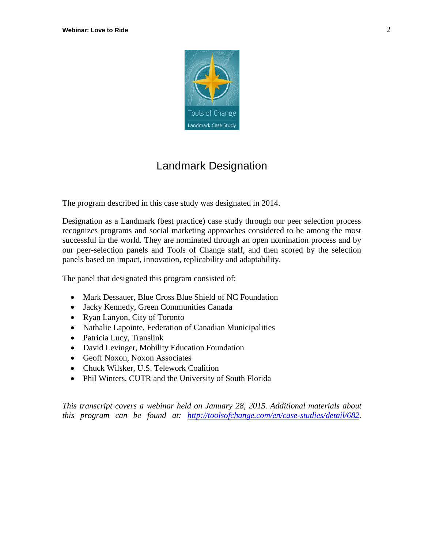

### Landmark Designation

The program described in this case study was designated in 2014.

Designation as a Landmark (best practice) case study through our peer selection process recognizes programs and social marketing approaches considered to be among the most successful in the world. They are nominated through an open nomination process and by our peer-selection panels and Tools of Change staff, and then scored by the selection panels based on impact, innovation, replicability and adaptability.

The panel that designated this program consisted of:

- Mark Dessauer, Blue Cross Blue Shield of NC Foundation
- Jacky Kennedy, Green Communities Canada
- Ryan Lanyon, City of Toronto
- Nathalie Lapointe, Federation of Canadian Municipalities
- Patricia Lucy, Translink
- David Levinger, Mobility Education Foundation
- Geoff Noxon, Noxon Associates
- Chuck Wilsker, U.S. Telework Coalition
- Phil Winters, CUTR and the University of South Florida

*This transcript covers a webinar held on January 28, 2015. Additional materials about this program can be found at: [http://toolsofchange.com/en/case-studies/detail/682.](http://toolsofchange.com/en/case-studies/detail/682)*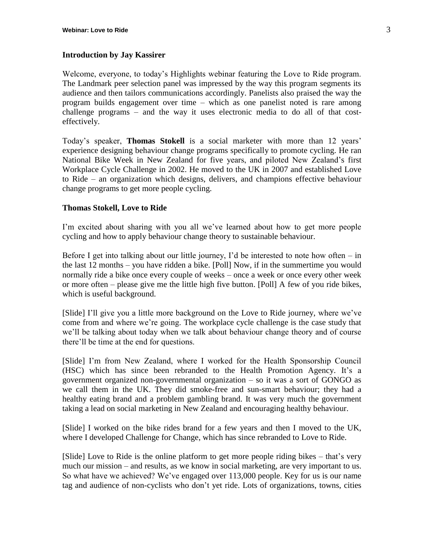#### **Introduction by Jay Kassirer**

Welcome, everyone, to today's Highlights webinar featuring the Love to Ride program. The Landmark peer selection panel was impressed by the way this program segments its audience and then tailors communications accordingly. Panelists also praised the way the program builds engagement over time – which as one panelist noted is rare among challenge programs – and the way it uses electronic media to do all of that costeffectively.

Today's speaker, **Thomas Stokell** is a social marketer with more than 12 years' experience designing behaviour change programs specifically to promote cycling. He ran National Bike Week in New Zealand for five years, and piloted New Zealand's first Workplace Cycle Challenge in 2002. He moved to the UK in 2007 and established Love to Ride – an organization which designs, delivers, and champions effective behaviour change programs to get more people cycling.

#### **Thomas Stokell, Love to Ride**

I'm excited about sharing with you all we've learned about how to get more people cycling and how to apply behaviour change theory to sustainable behaviour.

Before I get into talking about our little journey, I'd be interested to note how often – in the last 12 months – you have ridden a bike. [Poll] Now, if in the summertime you would normally ride a bike once every couple of weeks – once a week or once every other week or more often – please give me the little high five button. [Poll] A few of you ride bikes, which is useful background.

[Slide] I'll give you a little more background on the Love to Ride journey, where we've come from and where we're going. The workplace cycle challenge is the case study that we'll be talking about today when we talk about behaviour change theory and of course there'll be time at the end for questions.

[Slide] I'm from New Zealand, where I worked for the Health Sponsorship Council (HSC) which has since been rebranded to the Health Promotion Agency. It's a government organized non-governmental organization – so it was a sort of GONGO as we call them in the UK. They did smoke-free and sun-smart behaviour; they had a healthy eating brand and a problem gambling brand. It was very much the government taking a lead on social marketing in New Zealand and encouraging healthy behaviour.

[Slide] I worked on the bike rides brand for a few years and then I moved to the UK, where I developed Challenge for Change, which has since rebranded to Love to Ride.

[Slide] Love to Ride is the online platform to get more people riding bikes – that's very much our mission – and results, as we know in social marketing, are very important to us. So what have we achieved? We've engaged over 113,000 people. Key for us is our name tag and audience of non-cyclists who don't yet ride. Lots of organizations, towns, cities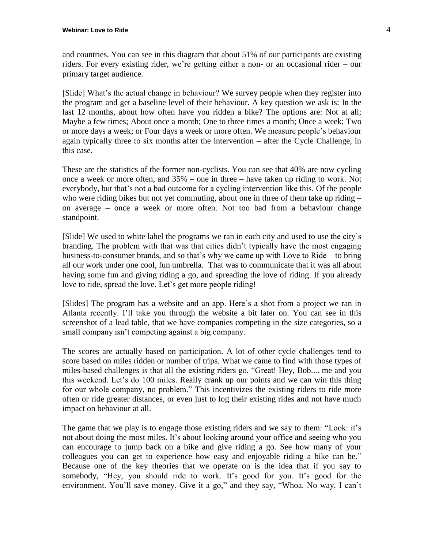and countries. You can see in this diagram that about 51% of our participants are existing riders. For every existing rider, we're getting either a non- or an occasional rider – our primary target audience.

[Slide] What's the actual change in behaviour? We survey people when they register into the program and get a baseline level of their behaviour. A key question we ask is: In the last 12 months, about how often have you ridden a bike? The options are: Not at all; Maybe a few times; About once a month; One to three times a month; Once a week; Two or more days a week; or Four days a week or more often. We measure people's behaviour again typically three to six months after the intervention – after the Cycle Challenge, in this case.

These are the statistics of the former non-cyclists. You can see that 40% are now cycling once a week or more often, and 35% – one in three – have taken up riding to work. Not everybody, but that's not a bad outcome for a cycling intervention like this. Of the people who were riding bikes but not yet commuting, about one in three of them take up riding – on average – once a week or more often. Not too bad from a behaviour change standpoint.

[Slide] We used to white label the programs we ran in each city and used to use the city's branding. The problem with that was that cities didn't typically have the most engaging business-to-consumer brands, and so that's why we came up with Love to Ride – to bring all our work under one cool, fun umbrella. That was to communicate that it was all about having some fun and giving riding a go, and spreading the love of riding. If you already love to ride, spread the love. Let's get more people riding!

[Slides] The program has a website and an app. Here's a shot from a project we ran in Atlanta recently. I'll take you through the website a bit later on. You can see in this screenshot of a lead table, that we have companies competing in the size categories, so a small company isn't competing against a big company.

The scores are actually based on participation. A lot of other cycle challenges tend to score based on miles ridden or number of trips. What we came to find with those types of miles-based challenges is that all the existing riders go, "Great! Hey, Bob.... me and you this weekend. Let's do 100 miles. Really crank up our points and we can win this thing for our whole company, no problem." This incentivizes the existing riders to ride more often or ride greater distances, or even just to log their existing rides and not have much impact on behaviour at all.

The game that we play is to engage those existing riders and we say to them: "Look: it's not about doing the most miles. It's about looking around your office and seeing who you can encourage to jump back on a bike and give riding a go. See how many of your colleagues you can get to experience how easy and enjoyable riding a bike can be." Because one of the key theories that we operate on is the idea that if you say to somebody, "Hey, you should ride to work. It's good for you. It's good for the environment. You'll save money. Give it a go," and they say, "Whoa. No way. I can't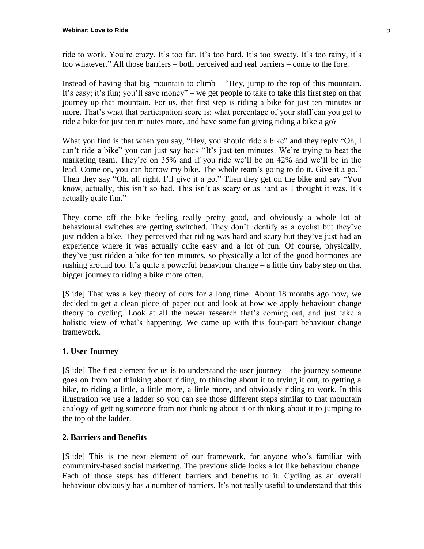ride to work. You're crazy. It's too far. It's too hard. It's too sweaty. It's too rainy, it's too whatever." All those barriers – both perceived and real barriers – come to the fore.

Instead of having that big mountain to climb – "Hey, jump to the top of this mountain. It's easy; it's fun; you'll save money" – we get people to take to take this first step on that journey up that mountain. For us, that first step is riding a bike for just ten minutes or more. That's what that participation score is: what percentage of your staff can you get to ride a bike for just ten minutes more, and have some fun giving riding a bike a go?

What you find is that when you say, "Hey, you should ride a bike" and they reply "Oh, I can't ride a bike" you can just say back "It's just ten minutes. We're trying to beat the marketing team. They're on 35% and if you ride we'll be on 42% and we'll be in the lead. Come on, you can borrow my bike. The whole team's going to do it. Give it a go." Then they say "Oh, all right. I'll give it a go." Then they get on the bike and say "You know, actually, this isn't so bad. This isn't as scary or as hard as I thought it was. It's actually quite fun."

They come off the bike feeling really pretty good, and obviously a whole lot of behavioural switches are getting switched. They don't identify as a cyclist but they've just ridden a bike. They perceived that riding was hard and scary but they've just had an experience where it was actually quite easy and a lot of fun. Of course, physically, they've just ridden a bike for ten minutes, so physically a lot of the good hormones are rushing around too. It's quite a powerful behaviour change – a little tiny baby step on that bigger journey to riding a bike more often.

[Slide] That was a key theory of ours for a long time. About 18 months ago now, we decided to get a clean piece of paper out and look at how we apply behaviour change theory to cycling. Look at all the newer research that's coming out, and just take a holistic view of what's happening. We came up with this four-part behaviour change framework.

#### **1. User Journey**

[Slide] The first element for us is to understand the user journey – the journey someone goes on from not thinking about riding, to thinking about it to trying it out, to getting a bike, to riding a little, a little more, a little more, and obviously riding to work. In this illustration we use a ladder so you can see those different steps similar to that mountain analogy of getting someone from not thinking about it or thinking about it to jumping to the top of the ladder.

#### **2. Barriers and Benefits**

[Slide] This is the next element of our framework, for anyone who's familiar with community-based social marketing. The previous slide looks a lot like behaviour change. Each of those steps has different barriers and benefits to it. Cycling as an overall behaviour obviously has a number of barriers. It's not really useful to understand that this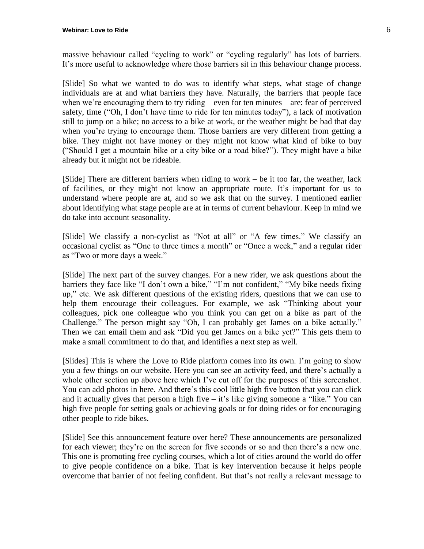massive behaviour called "cycling to work" or "cycling regularly" has lots of barriers. It's more useful to acknowledge where those barriers sit in this behaviour change process.

[Slide] So what we wanted to do was to identify what steps, what stage of change individuals are at and what barriers they have. Naturally, the barriers that people face when we're encouraging them to try riding – even for ten minutes – are: fear of perceived safety, time ("Oh, I don't have time to ride for ten minutes today"), a lack of motivation still to jump on a bike; no access to a bike at work, or the weather might be bad that day when you're trying to encourage them. Those barriers are very different from getting a bike. They might not have money or they might not know what kind of bike to buy ("Should I get a mountain bike or a city bike or a road bike?"). They might have a bike already but it might not be rideable.

[Slide] There are different barriers when riding to work – be it too far, the weather, lack of facilities, or they might not know an appropriate route. It's important for us to understand where people are at, and so we ask that on the survey. I mentioned earlier about identifying what stage people are at in terms of current behaviour. Keep in mind we do take into account seasonality.

[Slide] We classify a non-cyclist as "Not at all" or "A few times." We classify an occasional cyclist as "One to three times a month" or "Once a week," and a regular rider as "Two or more days a week."

[Slide] The next part of the survey changes. For a new rider, we ask questions about the barriers they face like "I don't own a bike," "I'm not confident," "My bike needs fixing up," etc. We ask different questions of the existing riders, questions that we can use to help them encourage their colleagues. For example, we ask "Thinking about your colleagues, pick one colleague who you think you can get on a bike as part of the Challenge." The person might say "Oh, I can probably get James on a bike actually." Then we can email them and ask "Did you get James on a bike yet?" This gets them to make a small commitment to do that, and identifies a next step as well.

[Slides] This is where the Love to Ride platform comes into its own. I'm going to show you a few things on our website. Here you can see an activity feed, and there's actually a whole other section up above here which I've cut off for the purposes of this screenshot. You can add photos in here. And there's this cool little high five button that you can click and it actually gives that person a high five  $-$  it's like giving someone a "like." You can high five people for setting goals or achieving goals or for doing rides or for encouraging other people to ride bikes.

[Slide] See this announcement feature over here? These announcements are personalized for each viewer; they're on the screen for five seconds or so and then there's a new one. This one is promoting free cycling courses, which a lot of cities around the world do offer to give people confidence on a bike. That is key intervention because it helps people overcome that barrier of not feeling confident. But that's not really a relevant message to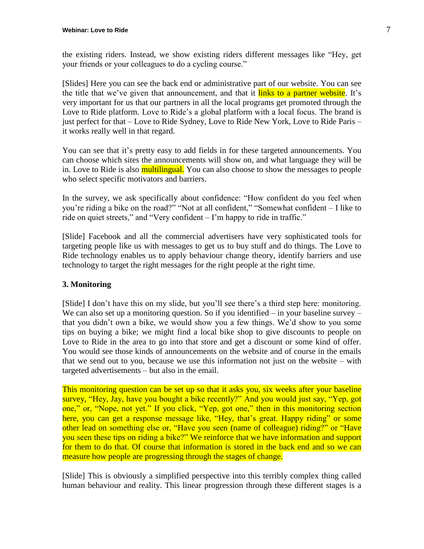the existing riders. Instead, we show existing riders different messages like "Hey, get your friends or your colleagues to do a cycling course."

[Slides] Here you can see the back end or administrative part of our website. You can see the title that we've given that announcement, and that it links to a partner website. It's very important for us that our partners in all the local programs get promoted through the Love to Ride platform. Love to Ride's a global platform with a local focus. The brand is just perfect for that – Love to Ride Sydney, Love to Ride New York, Love to Ride Paris – it works really well in that regard.

You can see that it's pretty easy to add fields in for these targeted announcements. You can choose which sites the announcements will show on, and what language they will be in. Love to Ride is also **multilingual**. You can also choose to show the messages to people who select specific motivators and barriers.

In the survey, we ask specifically about confidence: "How confident do you feel when you're riding a bike on the road?" "Not at all confident," "Somewhat confident – I like to ride on quiet streets," and "Very confident – I'm happy to ride in traffic."

[Slide] Facebook and all the commercial advertisers have very sophisticated tools for targeting people like us with messages to get us to buy stuff and do things. The Love to Ride technology enables us to apply behaviour change theory, identify barriers and use technology to target the right messages for the right people at the right time.

#### **3. Monitoring**

[Slide] I don't have this on my slide, but you'll see there's a third step here: monitoring. We can also set up a monitoring question. So if you identified – in your baseline survey – that you didn't own a bike, we would show you a few things. We'd show to you some tips on buying a bike; we might find a local bike shop to give discounts to people on Love to Ride in the area to go into that store and get a discount or some kind of offer. You would see those kinds of announcements on the website and of course in the emails that we send out to you, because we use this information not just on the website – with targeted advertisements – but also in the email.

This monitoring question can be set up so that it asks you, six weeks after your baseline survey, "Hey, Jay, have you bought a bike recently?" And you would just say, "Yep, got one," or, "Nope, not yet." If you click, "Yep, got one," then in this monitoring section here, you can get a response message like, "Hey, that's great. Happy riding" or some other lead on something else or, "Have you seen (name of colleague) riding?" or "Have you seen these tips on riding a bike?" We reinforce that we have information and support for them to do that. Of course that information is stored in the back end and so we can measure how people are progressing through the stages of change.

[Slide] This is obviously a simplified perspective into this terribly complex thing called human behaviour and reality. This linear progression through these different stages is a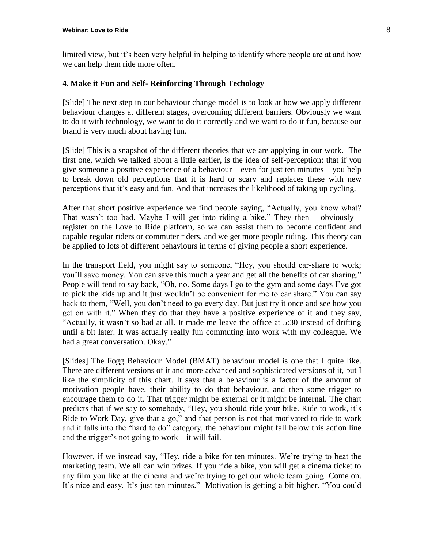limited view, but it's been very helpful in helping to identify where people are at and how we can help them ride more often.

#### **4. Make it Fun and Self- Reinforcing Through Techology**

[Slide] The next step in our behaviour change model is to look at how we apply different behaviour changes at different stages, overcoming different barriers. Obviously we want to do it with technology, we want to do it correctly and we want to do it fun, because our brand is very much about having fun.

[Slide] This is a snapshot of the different theories that we are applying in our work. The first one, which we talked about a little earlier, is the idea of self-perception: that if you give someone a positive experience of a behaviour – even for just ten minutes – you help to break down old perceptions that it is hard or scary and replaces these with new perceptions that it's easy and fun. And that increases the likelihood of taking up cycling.

After that short positive experience we find people saying, "Actually, you know what? That wasn't too bad. Maybe I will get into riding a bike." They then  $-$  obviously  $$ register on the Love to Ride platform, so we can assist them to become confident and capable regular riders or commuter riders, and we get more people riding. This theory can be applied to lots of different behaviours in terms of giving people a short experience.

In the transport field, you might say to someone, "Hey, you should car-share to work; you'll save money. You can save this much a year and get all the benefits of car sharing." People will tend to say back, "Oh, no. Some days I go to the gym and some days I've got to pick the kids up and it just wouldn't be convenient for me to car share." You can say back to them, "Well, you don't need to go every day. But just try it once and see how you get on with it." When they do that they have a positive experience of it and they say, "Actually, it wasn't so bad at all. It made me leave the office at 5:30 instead of drifting until a bit later. It was actually really fun commuting into work with my colleague. We had a great conversation. Okay."

[Slides] The Fogg Behaviour Model (BMAT) behaviour model is one that I quite like. There are different versions of it and more advanced and sophisticated versions of it, but I like the simplicity of this chart. It says that a behaviour is a factor of the amount of motivation people have, their ability to do that behaviour, and then some trigger to encourage them to do it. That trigger might be external or it might be internal. The chart predicts that if we say to somebody, "Hey, you should ride your bike. Ride to work, it's Ride to Work Day, give that a go," and that person is not that motivated to ride to work and it falls into the "hard to do" category, the behaviour might fall below this action line and the trigger's not going to work – it will fail.

However, if we instead say, "Hey, ride a bike for ten minutes. We're trying to beat the marketing team. We all can win prizes. If you ride a bike, you will get a cinema ticket to any film you like at the cinema and we're trying to get our whole team going. Come on. It's nice and easy. It's just ten minutes." Motivation is getting a bit higher. "You could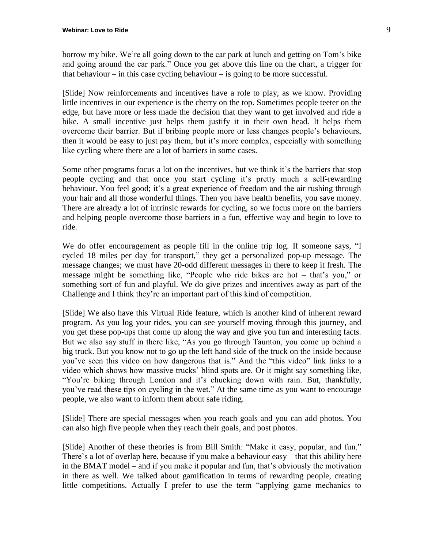borrow my bike. We're all going down to the car park at lunch and getting on Tom's bike and going around the car park." Once you get above this line on the chart, a trigger for that behaviour – in this case cycling behaviour – is going to be more successful.

[Slide] Now reinforcements and incentives have a role to play, as we know. Providing little incentives in our experience is the cherry on the top. Sometimes people teeter on the edge, but have more or less made the decision that they want to get involved and ride a bike. A small incentive just helps them justify it in their own head. It helps them overcome their barrier. But if bribing people more or less changes people's behaviours, then it would be easy to just pay them, but it's more complex, especially with something like cycling where there are a lot of barriers in some cases.

Some other programs focus a lot on the incentives, but we think it's the barriers that stop people cycling and that once you start cycling it's pretty much a self-rewarding behaviour. You feel good; it's a great experience of freedom and the air rushing through your hair and all those wonderful things. Then you have health benefits, you save money. There are already a lot of intrinsic rewards for cycling, so we focus more on the barriers and helping people overcome those barriers in a fun, effective way and begin to love to ride.

We do offer encouragement as people fill in the online trip log. If someone says, "I cycled 18 miles per day for transport," they get a personalized pop-up message. The message changes; we must have 20-odd different messages in there to keep it fresh. The message might be something like, "People who ride bikes are hot – that's you," or something sort of fun and playful. We do give prizes and incentives away as part of the Challenge and I think they're an important part of this kind of competition.

[Slide] We also have this Virtual Ride feature, which is another kind of inherent reward program. As you log your rides, you can see yourself moving through this journey, and you get these pop-ups that come up along the way and give you fun and interesting facts. But we also say stuff in there like, "As you go through Taunton, you come up behind a big truck. But you know not to go up the left hand side of the truck on the inside because you've seen this video on how dangerous that is." And the "this video" link links to a video which shows how massive trucks' blind spots are. Or it might say something like, "You're biking through London and it's chucking down with rain. But, thankfully, you've read these tips on cycling in the wet." At the same time as you want to encourage people, we also want to inform them about safe riding.

[Slide] There are special messages when you reach goals and you can add photos. You can also high five people when they reach their goals, and post photos.

[Slide] Another of these theories is from Bill Smith: "Make it easy, popular, and fun." There's a lot of overlap here, because if you make a behaviour easy – that this ability here in the BMAT model – and if you make it popular and fun, that's obviously the motivation in there as well. We talked about gamification in terms of rewarding people, creating little competitions. Actually I prefer to use the term "applying game mechanics to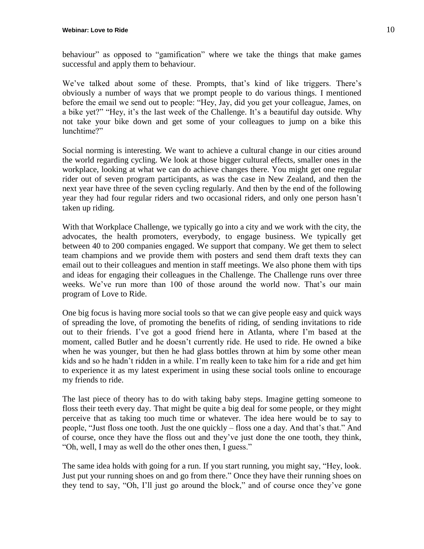behaviour" as opposed to "gamification" where we take the things that make games successful and apply them to behaviour.

We've talked about some of these. Prompts, that's kind of like triggers. There's obviously a number of ways that we prompt people to do various things. I mentioned before the email we send out to people: "Hey, Jay, did you get your colleague, James, on a bike yet?" "Hey, it's the last week of the Challenge. It's a beautiful day outside. Why not take your bike down and get some of your colleagues to jump on a bike this lunchtime?"

Social norming is interesting. We want to achieve a cultural change in our cities around the world regarding cycling. We look at those bigger cultural effects, smaller ones in the workplace, looking at what we can do achieve changes there. You might get one regular rider out of seven program participants, as was the case in New Zealand, and then the next year have three of the seven cycling regularly. And then by the end of the following year they had four regular riders and two occasional riders, and only one person hasn't taken up riding.

With that Workplace Challenge, we typically go into a city and we work with the city, the advocates, the health promoters, everybody, to engage business. We typically get between 40 to 200 companies engaged. We support that company. We get them to select team champions and we provide them with posters and send them draft texts they can email out to their colleagues and mention in staff meetings. We also phone them with tips and ideas for engaging their colleagues in the Challenge. The Challenge runs over three weeks. We've run more than 100 of those around the world now. That's our main program of Love to Ride.

One big focus is having more social tools so that we can give people easy and quick ways of spreading the love, of promoting the benefits of riding, of sending invitations to ride out to their friends. I've got a good friend here in Atlanta, where I'm based at the moment, called Butler and he doesn't currently ride. He used to ride. He owned a bike when he was younger, but then he had glass bottles thrown at him by some other mean kids and so he hadn't ridden in a while. I'm really keen to take him for a ride and get him to experience it as my latest experiment in using these social tools online to encourage my friends to ride.

The last piece of theory has to do with taking baby steps. Imagine getting someone to floss their teeth every day. That might be quite a big deal for some people, or they might perceive that as taking too much time or whatever. The idea here would be to say to people, "Just floss one tooth. Just the one quickly – floss one a day. And that's that." And of course, once they have the floss out and they've just done the one tooth, they think, "Oh, well, I may as well do the other ones then, I guess."

The same idea holds with going for a run. If you start running, you might say, "Hey, look. Just put your running shoes on and go from there." Once they have their running shoes on they tend to say, "Oh, I'll just go around the block," and of course once they've gone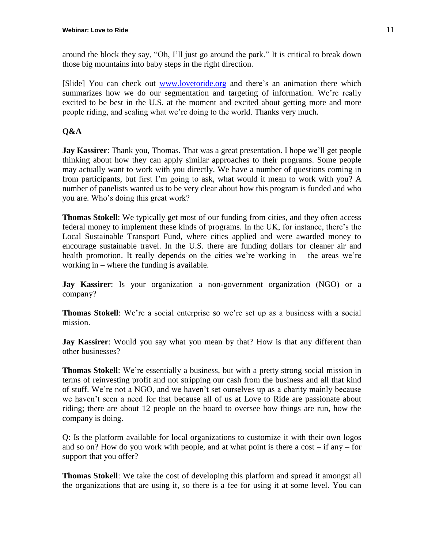around the block they say, "Oh, I'll just go around the park." It is critical to break down those big mountains into baby steps in the right direction.

[Slide] You can check out [www.lovetoride.org](http://www.lovetoride.org/) and there's an animation there which summarizes how we do our segmentation and targeting of information. We're really excited to be best in the U.S. at the moment and excited about getting more and more people riding, and scaling what we're doing to the world. Thanks very much.

#### **Q&A**

**Jay Kassirer**: Thank you, Thomas. That was a great presentation. I hope we'll get people thinking about how they can apply similar approaches to their programs. Some people may actually want to work with you directly. We have a number of questions coming in from participants, but first I'm going to ask, what would it mean to work with you? A number of panelists wanted us to be very clear about how this program is funded and who you are. Who's doing this great work?

**Thomas Stokell**: We typically get most of our funding from cities, and they often access federal money to implement these kinds of programs. In the UK, for instance, there's the Local Sustainable Transport Fund, where cities applied and were awarded money to encourage sustainable travel. In the U.S. there are funding dollars for cleaner air and health promotion. It really depends on the cities we're working in – the areas we're working in – where the funding is available.

**Jay Kassirer**: Is your organization a non-government organization (NGO) or a company?

**Thomas Stokell**: We're a social enterprise so we're set up as a business with a social mission.

**Jay Kassirer**: Would you say what you mean by that? How is that any different than other businesses?

**Thomas Stokell**: We're essentially a business, but with a pretty strong social mission in terms of reinvesting profit and not stripping our cash from the business and all that kind of stuff. We're not a NGO, and we haven't set ourselves up as a charity mainly because we haven't seen a need for that because all of us at Love to Ride are passionate about riding; there are about 12 people on the board to oversee how things are run, how the company is doing.

Q: Is the platform available for local organizations to customize it with their own logos and so on? How do you work with people, and at what point is there a cost  $-$  if any  $-$  for support that you offer?

**Thomas Stokell**: We take the cost of developing this platform and spread it amongst all the organizations that are using it, so there is a fee for using it at some level. You can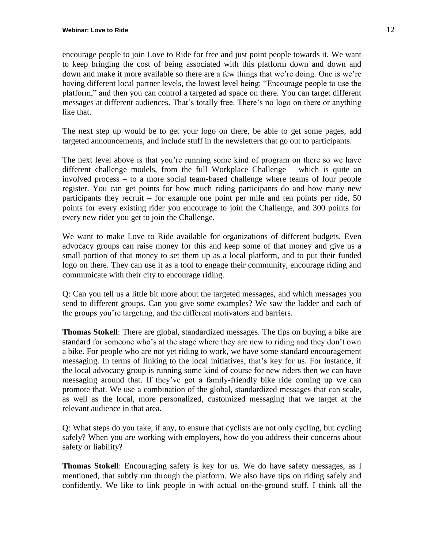encourage people to join Love to Ride for free and just point people towards it. We want to keep bringing the cost of being associated with this platform down and down and down and make it more available so there are a few things that we're doing. One is we're having different local partner levels, the lowest level being: "Encourage people to use the platform," and then you can control a targeted ad space on there. You can target different messages at different audiences. That's totally free. There's no logo on there or anything like that.

The next step up would be to get your logo on there, be able to get some pages, add targeted announcements, and include stuff in the newsletters that go out to participants.

The next level above is that you're running some kind of program on there so we have different challenge models, from the full Workplace Challenge – which is quite an involved process – to a more social team-based challenge where teams of four people register. You can get points for how much riding participants do and how many new participants they recruit – for example one point per mile and ten points per ride, 50 points for every existing rider you encourage to join the Challenge, and 300 points for every new rider you get to join the Challenge.

We want to make Love to Ride available for organizations of different budgets. Even advocacy groups can raise money for this and keep some of that money and give us a small portion of that money to set them up as a local platform, and to put their funded logo on there. They can use it as a tool to engage their community, encourage riding and communicate with their city to encourage riding.

Q: Can you tell us a little bit more about the targeted messages, and which messages you send to different groups. Can you give some examples? We saw the ladder and each of the groups you're targeting, and the different motivators and barriers.

**Thomas Stokell**: There are global, standardized messages. The tips on buying a bike are standard for someone who's at the stage where they are new to riding and they don't own a bike. For people who are not yet riding to work, we have some standard encouragement messaging. In terms of linking to the local initiatives, that's key for us. For instance, if the local advocacy group is running some kind of course for new riders then we can have messaging around that. If they've got a family-friendly bike ride coming up we can promote that. We use a combination of the global, standardized messages that can scale, as well as the local, more personalized, customized messaging that we target at the relevant audience in that area.

Q: What steps do you take, if any, to ensure that cyclists are not only cycling, but cycling safely? When you are working with employers, how do you address their concerns about safety or liability?

**Thomas Stokell**: Encouraging safety is key for us. We do have safety messages, as I mentioned, that subtly run through the platform. We also have tips on riding safely and confidently. We like to link people in with actual on-the-ground stuff. I think all the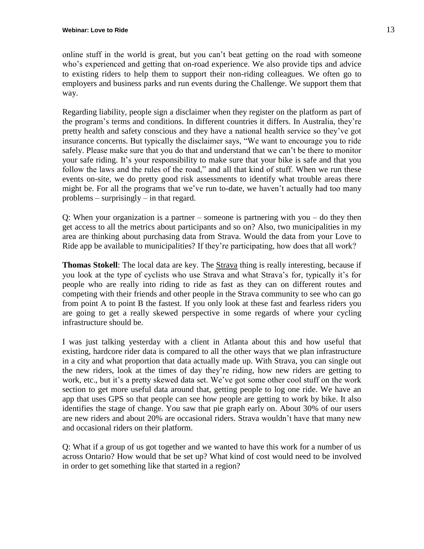online stuff in the world is great, but you can't beat getting on the road with someone who's experienced and getting that on-road experience. We also provide tips and advice to existing riders to help them to support their non-riding colleagues. We often go to employers and business parks and run events during the Challenge. We support them that way.

Regarding liability, people sign a disclaimer when they register on the platform as part of the program's terms and conditions. In different countries it differs. In Australia, they're pretty health and safety conscious and they have a national health service so they've got insurance concerns. But typically the disclaimer says, "We want to encourage you to ride safely. Please make sure that you do that and understand that we can't be there to monitor your safe riding. It's your responsibility to make sure that your bike is safe and that you follow the laws and the rules of the road," and all that kind of stuff. When we run these events on-site, we do pretty good risk assessments to identify what trouble areas there might be. For all the programs that we've run to-date, we haven't actually had too many problems – surprisingly – in that regard.

Q: When your organization is a partner – someone is partnering with you – do they then get access to all the metrics about participants and so on? Also, two municipalities in my area are thinking about purchasing data from Strava. Would the data from your Love to Ride app be available to municipalities? If they're participating, how does that all work?

**Thomas Stokell**: The local data are key. The [Strava](http://www.strava.com/) thing is really interesting, because if you look at the type of cyclists who use Strava and what Strava's for, typically it's for people who are really into riding to ride as fast as they can on different routes and competing with their friends and other people in the Strava community to see who can go from point A to point B the fastest. If you only look at these fast and fearless riders you are going to get a really skewed perspective in some regards of where your cycling infrastructure should be.

I was just talking yesterday with a client in Atlanta about this and how useful that existing, hardcore rider data is compared to all the other ways that we plan infrastructure in a city and what proportion that data actually made up. With Strava, you can single out the new riders, look at the times of day they're riding, how new riders are getting to work, etc., but it's a pretty skewed data set. We've got some other cool stuff on the work section to get more useful data around that, getting people to log one ride. We have an app that uses GPS so that people can see how people are getting to work by bike. It also identifies the stage of change. You saw that pie graph early on. About 30% of our users are new riders and about 20% are occasional riders. Strava wouldn't have that many new and occasional riders on their platform.

Q: What if a group of us got together and we wanted to have this work for a number of us across Ontario? How would that be set up? What kind of cost would need to be involved in order to get something like that started in a region?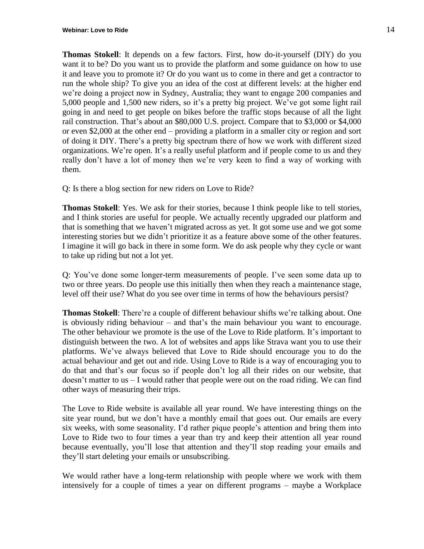**Thomas Stokell**: It depends on a few factors. First, how do-it-yourself (DIY) do you want it to be? Do you want us to provide the platform and some guidance on how to use it and leave you to promote it? Or do you want us to come in there and get a contractor to run the whole ship? To give you an idea of the cost at different levels: at the higher end we're doing a project now in Sydney, Australia; they want to engage 200 companies and 5,000 people and 1,500 new riders, so it's a pretty big project. We've got some light rail going in and need to get people on bikes before the traffic stops because of all the light rail construction. That's about an \$80,000 U.S. project. Compare that to \$3,000 or \$4,000 or even \$2,000 at the other end – providing a platform in a smaller city or region and sort of doing it DIY. There's a pretty big spectrum there of how we work with different sized organizations. We're open. It's a really useful platform and if people come to us and they really don't have a lot of money then we're very keen to find a way of working with them.

Q: Is there a blog section for new riders on Love to Ride?

**Thomas Stokell**: Yes. We ask for their stories, because I think people like to tell stories, and I think stories are useful for people. We actually recently upgraded our platform and that is something that we haven't migrated across as yet. It got some use and we got some interesting stories but we didn't prioritize it as a feature above some of the other features. I imagine it will go back in there in some form. We do ask people why they cycle or want to take up riding but not a lot yet.

Q: You've done some longer-term measurements of people. I've seen some data up to two or three years. Do people use this initially then when they reach a maintenance stage, level off their use? What do you see over time in terms of how the behaviours persist?

**Thomas Stokell**: There're a couple of different behaviour shifts we're talking about. One is obviously riding behaviour – and that's the main behaviour you want to encourage. The other behaviour we promote is the use of the Love to Ride platform. It's important to distinguish between the two. A lot of websites and apps like Strava want you to use their platforms. We've always believed that Love to Ride should encourage you to do the actual behaviour and get out and ride. Using Love to Ride is a way of encouraging you to do that and that's our focus so if people don't log all their rides on our website, that doesn't matter to us – I would rather that people were out on the road riding. We can find other ways of measuring their trips.

The Love to Ride website is available all year round. We have interesting things on the site year round, but we don't have a monthly email that goes out. Our emails are every six weeks, with some seasonality. I'd rather pique people's attention and bring them into Love to Ride two to four times a year than try and keep their attention all year round because eventually, you'll lose that attention and they'll stop reading your emails and they'll start deleting your emails or unsubscribing.

We would rather have a long-term relationship with people where we work with them intensively for a couple of times a year on different programs – maybe a Workplace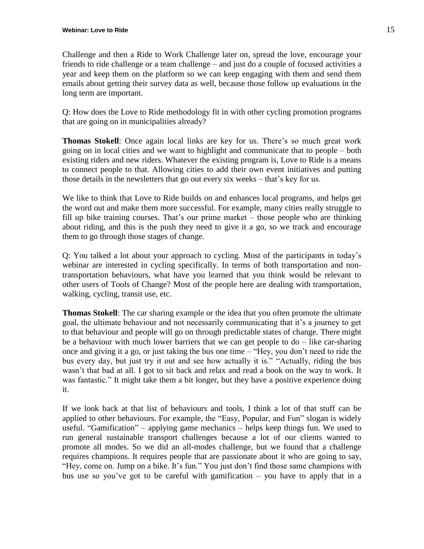Challenge and then a Ride to Work Challenge later on, spread the love, encourage your friends to ride challenge or a team challenge – and just do a couple of focused activities a year and keep them on the platform so we can keep engaging with them and send them emails about getting their survey data as well, because those follow up evaluations in the long term are important.

Q: How does the Love to Ride methodology fit in with other cycling promotion programs that are going on in municipalities already?

**Thomas Stokell**: Once again local links are key for us. There's so much great work going on in local cities and we want to highlight and communicate that to people – both existing riders and new riders. Whatever the existing program is, Love to Ride is a means to connect people to that. Allowing cities to add their own event initiatives and putting those details in the newsletters that go out every six weeks – that's key for us.

We like to think that Love to Ride builds on and enhances local programs, and helps get the word out and make them more successful. For example, many cities really struggle to fill up bike training courses. That's our prime market – those people who are thinking about riding, and this is the push they need to give it a go, so we track and encourage them to go through those stages of change.

Q: You talked a lot about your approach to cycling. Most of the participants in today's webinar are interested in cycling specifically. In terms of both transportation and nontransportation behaviours, what have you learned that you think would be relevant to other users of Tools of Change? Most of the people here are dealing with transportation, walking, cycling, transit use, etc.

**Thomas Stokell**: The car sharing example or the idea that you often promote the ultimate goal, the ultimate behaviour and not necessarily communicating that it's a journey to get to that behaviour and people will go on through predictable states of change. There might be a behaviour with much lower barriers that we can get people to do – like car-sharing once and giving it a go, or just taking the bus one time – "Hey, you don't need to ride the bus every day, but just try it out and see how actually it is." "Actually, riding the bus wasn't that bad at all. I got to sit back and relax and read a book on the way to work. It was fantastic." It might take them a bit longer, but they have a positive experience doing it.

If we look back at that list of behaviours and tools, I think a lot of that stuff can be applied to other behaviours. For example, the "Easy, Popular, and Fun" slogan is widely useful. "Gamification" – applying game mechanics – helps keep things fun. We used to run general sustainable transport challenges because a lot of our clients wanted to promote all modes. So we did an all-modes challenge, but we found that a challenge requires champions. It requires people that are passionate about it who are going to say, "Hey, come on. Jump on a bike. It's fun." You just don't find those same champions with bus use so you've got to be careful with gamification – you have to apply that in a